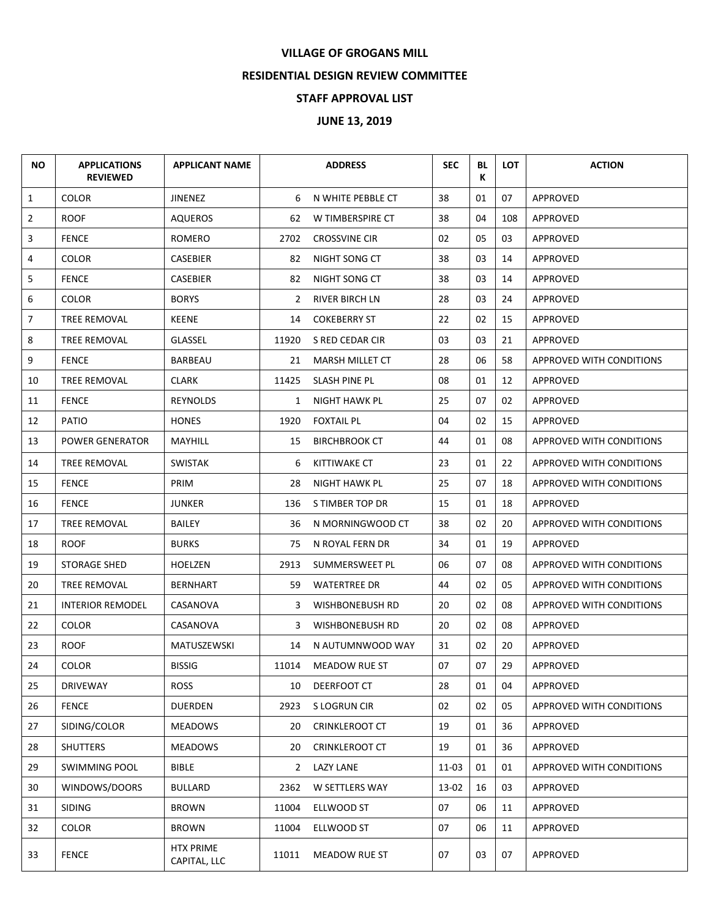## **VILLAGE OF GROGANS MILL**

## **RESIDENTIAL DESIGN REVIEW COMMITTEE**

## **STAFF APPROVAL LIST**

## **JUNE 13, 2019**

| <b>NO</b> | <b>APPLICATIONS</b><br><b>REVIEWED</b> | <b>APPLICANT NAME</b>            |              | <b>ADDRESS</b>         | <b>SEC</b> | BL<br>К | <b>LOT</b> | <b>ACTION</b>                   |
|-----------|----------------------------------------|----------------------------------|--------------|------------------------|------------|---------|------------|---------------------------------|
| 1         | <b>COLOR</b>                           | JINENEZ                          | 6            | N WHITE PEBBLE CT      | 38         | 01      | 07         | APPROVED                        |
| 2         | ROOF                                   | AQUEROS                          | 62           | W TIMBERSPIRE CT       | 38         | 04      | 108        | APPROVED                        |
| 3         | <b>FENCE</b>                           | ROMERO                           | 2702         | <b>CROSSVINE CIR</b>   | 02         | 05      | 03         | <b>APPROVED</b>                 |
| 4         | <b>COLOR</b>                           | CASEBIER                         | 82           | NIGHT SONG CT          | 38         | 03      | 14         | APPROVED                        |
| 5         | <b>FENCE</b>                           | CASEBIER                         | 82           | NIGHT SONG CT          | 38         | 03      | 14         | APPROVED                        |
| 6         | <b>COLOR</b>                           | <b>BORYS</b>                     | 2            | <b>RIVER BIRCH LN</b>  | 28         | 03      | 24         | APPROVED                        |
| 7         | <b>TREE REMOVAL</b>                    | <b>KEENE</b>                     | 14           | <b>COKEBERRY ST</b>    | 22         | 02      | 15         | APPROVED                        |
| 8         | TREE REMOVAL                           | GLASSEL                          | 11920        | S RED CEDAR CIR        | 03         | 03      | 21         | APPROVED                        |
| 9         | <b>FENCE</b>                           | <b>BARBEAU</b>                   | 21           | <b>MARSH MILLET CT</b> | 28         | 06      | 58         | APPROVED WITH CONDITIONS        |
| 10        | TREE REMOVAL                           | <b>CLARK</b>                     | 11425        | SLASH PINE PL          | 08         | 01      | 12         | <b>APPROVED</b>                 |
| 11        | <b>FENCE</b>                           | <b>REYNOLDS</b>                  | $\mathbf{1}$ | NIGHT HAWK PL          | 25         | 07      | 02         | APPROVED                        |
| 12        | <b>PATIO</b>                           | <b>HONES</b>                     | 1920         | <b>FOXTAIL PL</b>      | 04         | 02      | 15         | APPROVED                        |
| 13        | <b>POWER GENERATOR</b>                 | MAYHILL                          | 15           | <b>BIRCHBROOK CT</b>   | 44         | 01      | 08         | APPROVED WITH CONDITIONS        |
| 14        | TREE REMOVAL                           | SWISTAK                          | 6            | KITTIWAKE CT           | 23         | 01      | 22         | APPROVED WITH CONDITIONS        |
| 15        | <b>FENCE</b>                           | PRIM                             | 28           | NIGHT HAWK PL          | 25         | 07      | 18         | APPROVED WITH CONDITIONS        |
| 16        | <b>FENCE</b>                           | JUNKER                           | 136          | S TIMBER TOP DR        | 15         | 01      | 18         | APPROVED                        |
| 17        | TREE REMOVAL                           | <b>BAILEY</b>                    | 36           | N MORNINGWOOD CT       | 38         | 02      | 20         | APPROVED WITH CONDITIONS        |
| 18        | <b>ROOF</b>                            | <b>BURKS</b>                     | 75           | N ROYAL FERN DR        | 34         | 01      | 19         | APPROVED                        |
| 19        | <b>STORAGE SHED</b>                    | HOELZEN                          | 2913         | SUMMERSWEET PL         | 06         | 07      | 08         | APPROVED WITH CONDITIONS        |
| 20        | TREE REMOVAL                           | BERNHART                         | 59           | <b>WATERTREE DR</b>    | 44         | 02      | 05         | APPROVED WITH CONDITIONS        |
| 21        | <b>INTERIOR REMODEL</b>                | CASANOVA                         | 3            | WISHBONEBUSH RD        | 20         | 02      | 08         | APPROVED WITH CONDITIONS        |
| 22        | <b>COLOR</b>                           | CASANOVA                         | 3            | WISHBONEBUSH RD        | 20         | 02      | 08         | APPROVED                        |
| 23        | <b>ROOF</b>                            | <b>MATUSZEWSKI</b>               | 14           | N AUTUMNWOOD WAY       | 31         | 02      | 20         | APPROVED                        |
| 24        | <b>COLOR</b>                           | <b>BISSIG</b>                    | 11014        | MEADOW RUE ST          | 07         | 07      | 29         | <b>APPROVED</b>                 |
| 25        | <b>DRIVEWAY</b>                        | <b>ROSS</b>                      | 10           | DEERFOOT CT            | 28         | 01      | 04         | APPROVED                        |
| 26        | <b>FENCE</b>                           | DUERDEN                          | 2923         | S LOGRUN CIR           | 02         | 02      | 05         | <b>APPROVED WITH CONDITIONS</b> |
| 27        | SIDING/COLOR                           | <b>MEADOWS</b>                   | 20           | <b>CRINKLEROOT CT</b>  | 19         | 01      | 36         | <b>APPROVED</b>                 |
| 28        | SHUTTERS                               | <b>MEADOWS</b>                   | 20           | <b>CRINKLEROOT CT</b>  | 19         | 01      | 36         | APPROVED                        |
| 29        | <b>SWIMMING POOL</b>                   | <b>BIBLE</b>                     | $\mathbf{2}$ | <b>LAZY LANE</b>       | 11-03      | 01      | 01         | APPROVED WITH CONDITIONS        |
| 30        | WINDOWS/DOORS                          | <b>BULLARD</b>                   | 2362         | W SETTLERS WAY         | 13-02      | 16      | 03         | APPROVED                        |
| 31        | <b>SIDING</b>                          | <b>BROWN</b>                     | 11004        | ELLWOOD ST             | 07         | 06      | 11         | APPROVED                        |
| 32        | COLOR                                  | <b>BROWN</b>                     | 11004        | ELLWOOD ST             | 07         | 06      | 11         | APPROVED                        |
| 33        | <b>FENCE</b>                           | <b>HTX PRIME</b><br>CAPITAL, LLC | 11011        | MEADOW RUE ST          | 07         | 03      | 07         | APPROVED                        |